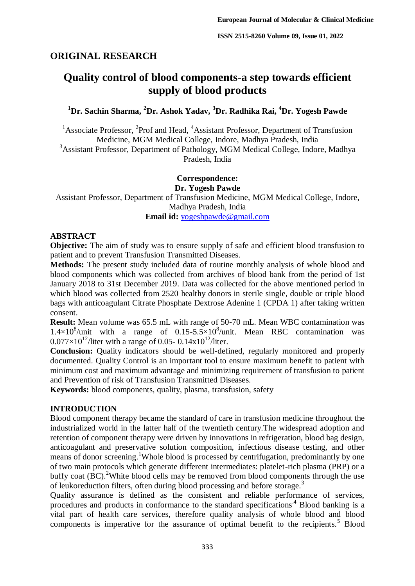# **ORIGINAL RESEARCH**

# **Quality control of blood components-a step towards efficient supply of blood products**

**<sup>1</sup>Dr. Sachin Sharma, <sup>2</sup>Dr. Ashok Yadav, <sup>3</sup>Dr. Radhika Rai, <sup>4</sup>Dr. Yogesh Pawde**

<sup>1</sup> Associate Professor, <sup>2</sup>Prof and Head, <sup>4</sup> Assistant Professor, Department of Transfusion Medicine, MGM Medical College, Indore, Madhya Pradesh, India <sup>3</sup>Assistant Professor, Department of Pathology, MGM Medical College, Indore, Madhya Pradesh, India

> **Correspondence: Dr. Yogesh Pawde**

Assistant Professor, Department of Transfusion Medicine, MGM Medical College, Indore, Madhya Pradesh, India

**Email id:** [yogeshpawde@gmail.com](mailto:yogeshpawde@gmail.com)

### **ABSTRACT**

**Objective:** The aim of study was to ensure supply of safe and efficient blood transfusion to patient and to prevent Transfusion Transmitted Diseases.

**Methods:** The present study included data of routine monthly analysis of whole blood and blood components which was collected from archives of blood bank from the period of 1st January 2018 to 31st December 2019. Data was collected for the above mentioned period in which blood was collected from 2520 healthy donors in sterile single, double or triple blood bags with anticoagulant Citrate Phosphate Dextrose Adenine 1 (CPDA 1) after taking written consent.

**Result:** Mean volume was 65.5 mL with range of 50-70 mL. Mean WBC contamination was  $1.4\times10^8$ /unit with a range of 0.15-5.5×10<sup>8</sup>/unit. Mean RBC contamination was  $0.077\times10^{12}$ /liter with a range of 0.05- 0.14x10<sup>12</sup>/liter.

**Conclusion:** Quality indicators should be well-defined, regularly monitored and properly documented. Quality Control is an important tool to ensure maximum benefit to patient with minimum cost and maximum advantage and minimizing requirement of transfusion to patient and Prevention of risk of Transfusion Transmitted Diseases.

**Keywords:** blood components, quality, plasma, transfusion, safety

# **INTRODUCTION**

Blood component therapy became the standard of care in transfusion medicine throughout the industrialized world in the latter half of the twentieth century.The widespread adoption and retention of component therapy were driven by innovations in refrigeration, blood bag design, anticoagulant and preservative solution composition, infectious disease testing, and other means of donor screening.<sup>1</sup>Whole blood is processed by centrifugation, predominantly by one of two main protocols which generate different intermediates: platelet-rich plasma (PRP) or a buffy coat  $(BC)$ .<sup>2</sup>White blood cells may be removed from blood components through the use of leukoreduction filters, often during blood processing and before storage.<sup>3</sup>

Quality assurance is defined as the consistent and reliable performance of services, procedures and products in conformance to the standard specifications<sup>.4</sup> Blood banking is a vital part of health care services, therefore quality analysis of whole blood and blood components is imperative for the assurance of optimal benefit to the recipients.<sup>5</sup> Blood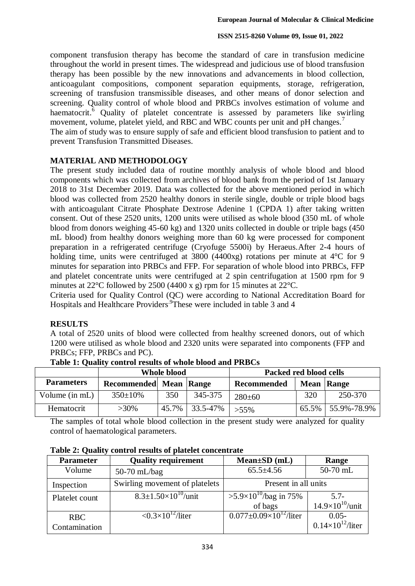component transfusion therapy has become the standard of care in transfusion medicine throughout the world in present times. The widespread and judicious use of blood transfusion therapy has been possible by the new innovations and advancements in blood collection, anticoagulant compositions, component separation equipments, storage, refrigeration, screening of transfusion transmissible diseases, and other means of donor selection and screening. Quality control of whole blood and PRBCs involves estimation of volume and haematocrit.<sup>6</sup> Quality of platelet concentrate is assessed by parameters like swirling movement, volume, platelet yield, and RBC and WBC counts per unit and pH changes.<sup>7</sup>

The aim of study was to ensure supply of safe and efficient blood transfusion to patient and to prevent Transfusion Transmitted Diseases.

# **MATERIAL AND METHODOLOGY**

The present study included data of routine monthly analysis of whole blood and blood components which was collected from archives of blood bank from the period of 1st January 2018 to 31st December 2019. Data was collected for the above mentioned period in which blood was collected from 2520 healthy donors in sterile single, double or triple blood bags with anticoagulant Citrate Phosphate Dextrose Adenine 1 (CPDA 1) after taking written consent. Out of these 2520 units, 1200 units were utilised as whole blood (350 mL of whole blood from donors weighing 45-60 kg) and 1320 units collected in double or triple bags (450 mL blood) from healthy donors weighing more than 60 kg were processed for component preparation in a refrigerated centrifuge (Cryofuge 5500i) by Heraeus.After 2-4 hours of holding time, units were centrifuged at 3800 (4400xg) rotations per minute at 4<sup>o</sup>C for 9 minutes for separation into PRBCs and FFP. For separation of whole blood into PRBCs, FFP and platelet concentrate units were centrifuged at 2 spin centrifugation at 1500 rpm for 9 minutes at 22°C followed by 2500 (4400 x g) rpm for 15 minutes at 22°C.

Criteria used for Quality Control (QC) were according to National Accreditation Board for Hospitals and Healthcare Providers.<sup>9</sup>These were included in table 3 and 4

# **RESULTS**

A total of 2520 units of blood were collected from healthy screened donors, out of which 1200 were utilised as whole blood and 2320 units were separated into components (FFP and PRBCs; FFP, PRBCs and PC).

|                   | <b>Whole blood</b>     |     |                | Packed red blood cells |            |             |
|-------------------|------------------------|-----|----------------|------------------------|------------|-------------|
| <b>Parameters</b> | Recommended Mean Range |     |                | Recommended            | Mean Range |             |
| Volume (in mL)    | $350 \pm 10\%$         | 350 | 345-375        | $280 \pm 60$           | 320        | 250-370     |
| Hematocrit        | $>30\%$                |     | 45.7% 33.5-47% | $>55\%$                | $65.5\%$   | 55.9%-78.9% |

**Table 1: Quality control results of whole blood and PRBCs**

The samples of total whole blood collection in the present study were analyzed for quality control of haematological parameters.

| <b>Parameter</b> | <b>Quality requirement</b>                          | $Mean \pm SD$ (mL)                     | Range                      |
|------------------|-----------------------------------------------------|----------------------------------------|----------------------------|
| Volume           | 50-70 mL/bag                                        | $65.5 \pm 4.56$                        | 50-70 mL                   |
| Inspection       | Swirling movement of platelets                      | Present in all units                   |                            |
| Platelet count   | $8.3 \pm 1.50 \times 10^{10}$ /unit                 | $>5.9\times10^{10}$ /bag in 75%        | $5.7-$                     |
|                  |                                                     | of bags                                | $14.9\times10^{10}/$ unit  |
| <b>RBC</b>       | $\langle 0.3 \times 10^{12} / \text{liter} \rangle$ | $0.077 \pm 0.09 \times 10^{12}$ /liter | $0.05 -$                   |
| Contamination    |                                                     |                                        | $0.14\times10^{12}$ /liter |

**Table 2: Quality control results of platelet concentrate**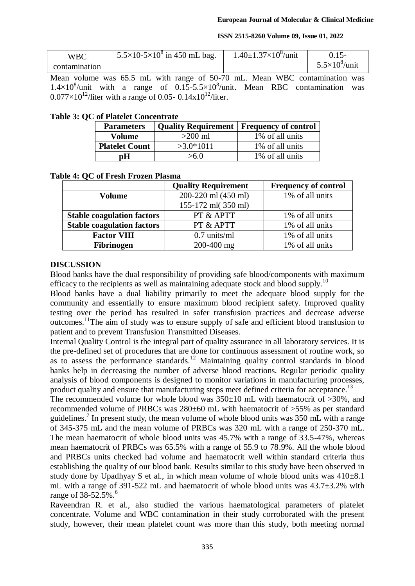#### **ISSN 2515-8260 Volume 09, Issue 01, 2022**

| <b>WBC</b>    | $5.5 \times 10^{-5} \times 10^{8}$ in 450 mL bag. | $1.40\pm1.37\times10^8$ /unit |                       |
|---------------|---------------------------------------------------|-------------------------------|-----------------------|
| contamination |                                                   |                               | $5.5\times10^8$ /unit |

Mean volume was 65.5 mL with range of 50-70 mL. Mean WBC contamination was  $1.4 \times 10^8$ /unit with a range of  $0.15 - 5.5 \times 10^8$ /unit. Mean RBC contamination was  $0.077\times10^{12}$ /liter with a range of 0.05- 0.14x10<sup>12</sup>/liter.

# **Table 3: QC of Platelet Concentrate**

| <b>Parameters</b>     | <b>Quality Requirement   Frequency of control</b> |                 |
|-----------------------|---------------------------------------------------|-----------------|
| Volume                | $>200$ ml                                         | 1% of all units |
| <b>Platelet Count</b> | $>3.0*1011$                                       | 1% of all units |
| nН                    | >6.0                                              | 1% of all units |

# **Table 4: QC of Fresh Frozen Plasma**

|                                   | <b>Quality Requirement</b> | <b>Frequency of control</b> |
|-----------------------------------|----------------------------|-----------------------------|
| Volume                            | 200-220 ml (450 ml)        | 1% of all units             |
|                                   | 155-172 ml(350 ml)         |                             |
| <b>Stable coagulation factors</b> | PT & APTT                  | 1% of all units             |
| <b>Stable coagulation factors</b> | PT & APTT                  | 1% of all units             |
| <b>Factor VIII</b>                | $0.7$ units/ml             | 1% of all units             |
| <b>Fibrinogen</b>                 | 200-400 mg                 | 1% of all units             |

# **DISCUSSION**

Blood banks have the dual responsibility of providing safe blood/components with maximum efficacy to the recipients as well as maintaining adequate stock and blood supply.<sup>10</sup>

Blood banks have a dual liability primarily to meet the adequate blood supply for the community and essentially to ensure maximum blood recipient safety. Improved quality testing over the period has resulted in safer transfusion practices and decrease adverse outcomes.<sup>11</sup>The aim of study was to ensure supply of safe and efficient blood transfusion to patient and to prevent Transfusion Transmitted Diseases.

Internal Quality Control is the integral part of quality assurance in all laboratory services. It is the pre-defined set of procedures that are done for continuous assessment of routine work, so as to assess the performance standards.<sup>12</sup> Maintaining quality control standards in blood banks help in decreasing the number of adverse blood reactions. Regular periodic quality analysis of blood components is designed to monitor variations in manufacturing processes, product quality and ensure that manufacturing steps meet defined criteria for acceptance.<sup>13</sup>

The recommended volume for whole blood was  $350\pm10$  mL with haematocrit of  $>30\%$ , and recommended volume of PRBCs was 280±60 mL with haematocrit of >55% as per standard guidelines.<sup>7</sup> In present study, the mean volume of whole blood units was 350 mL with a range of 345-375 mL and the mean volume of PRBCs was 320 mL with a range of 250-370 mL. The mean haematocrit of whole blood units was 45.7% with a range of 33.5-47%, whereas mean haematocrit of PRBCs was 65.5% with a range of 55.9 to 78.9%. All the whole blood and PRBCs units checked had volume and haematocrit well within standard criteria thus establishing the quality of our blood bank. Results similar to this study have been observed in study done by Upadhyay S et al., in which mean volume of whole blood units was  $410\pm8.1$ mL with a range of 391-522 mL and haematocrit of whole blood units was 43.7±3.2% with range of 38-52.5%.<sup>6</sup>

Raveendran R. et al., also studied the various haematological parameters of platelet concentrate. Volume and WBC contamination in their study corroborated with the present study, however, their mean platelet count was more than this study, both meeting normal